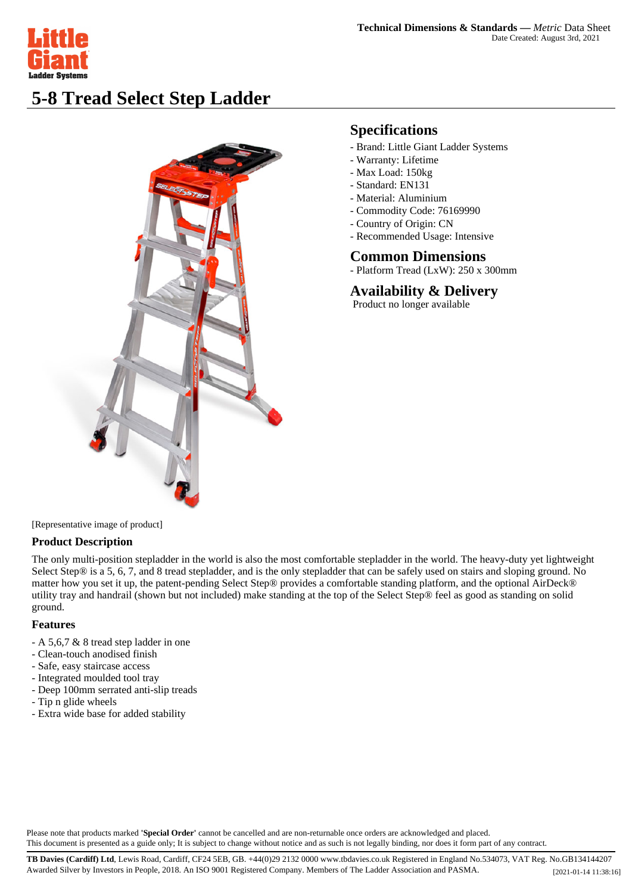

# **5-8 Tread Select Step Ladder**



## **Specifications**

- Brand: Little Giant Ladder Systems
- Warranty: Lifetime
- Max Load: 150kg
- Standard: EN131
- Material: Aluminium
- Commodity Code: 76169990
- Country of Origin: CN
- Recommended Usage: Intensive

#### **Common Dimensions**

- Platform Tread (LxW): 250 x 300mm

**Availability & Delivery**

Product no longer available

[Representative image of product]

### **Product Description**

The only multi-position stepladder in the world is also the most comfortable stepladder in the world. The heavy-duty yet lightweight Select Step® is a 5, 6, 7, and 8 tread stepladder, and is the only stepladder that can be safely used on stairs and sloping ground. No matter how you set it up, the patent-pending Select Step® provides a comfortable standing platform, and the optional AirDeck® utility tray and handrail (shown but not included) make standing at the top of the Select Step® feel as good as standing on solid ground.

### **Features**

- A 5,6,7 & 8 tread step ladder in one
- Clean-touch anodised finish
- Safe, easy staircase access
- Integrated moulded tool tray
- Deep 100mm serrated anti-slip treads
- Tip n glide wheels
- Extra wide base for added stability

Please note that products marked **'Special Order'** cannot be cancelled and are non-returnable once orders are acknowledged and placed. This document is presented as a guide only; It is subject to change without notice and as such is not legally binding, nor does it form part of any contract.